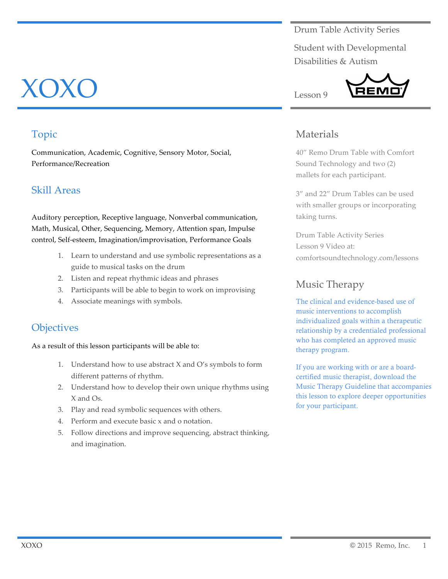#### Drum Table Activity Series

Student with Developmental Disabilities & Autism



#### Materials

40" Remo Drum Table with Comfort Sound Technology and two (2) mallets for each participant.

3" and 22" Drum Tables can be used with smaller groups or incorporating taking turns.

Drum Table Activity Series Lesson 9 Video at: comfortsoundtechnology.com/lessons

#### Music Therapy

The clinical and evidence-based use of music interventions to accomplish individualized goals within a therapeutic relationship by a credentialed professional who has completed an approved music therapy program.

If you are working with or are a boardcertified music therapist, download the Music Therapy Guideline that accompanies this lesson to explore deeper opportunities for your participant.

# XOXO

### Topic

Communication, Academic, Cognitive, Sensory Motor, Social, Performance/Recreation

#### Skill Areas

Auditory perception, Receptive language, Nonverbal communication, Math, Musical, Other, Sequencing, Memory, Attention span, Impulse control, Self-esteem, Imagination/improvisation, Performance Goals

- 1. Learn to understand and use symbolic representations as a guide to musical tasks on the drum
- 2. Listen and repeat rhythmic ideas and phrases
- 3. Participants will be able to begin to work on improvising
- 4. Associate meanings with symbols.

#### **Objectives**

As a result of this lesson participants will be able to:

- 1. Understand how to use abstract X and O's symbols to form different patterns of rhythm.
- 2. Understand how to develop their own unique rhythms using X and Os.
- 3. Play and read symbolic sequences with others.
- 4. Perform and execute basic x and o notation.
- 5. Follow directions and improve sequencing, abstract thinking, and imagination.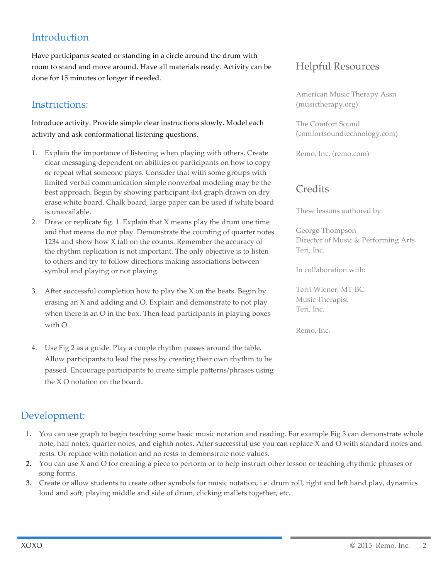## **Introduction**

Have participants seated or standing in a circle around the drum with room to stand and move around. Have all materials ready. Activity can be done for 15 minutes or longer if needed.

#### Instructions:

Introduce activity. Provide simple clear instructions slowly. Model each activity and ask conformational listening questions.

- 1. Explain the importance of listening when playing with others. Create clear messaging dependent on abilities of participants on how to copy or repeat what someone plays. Consider that with some groups with limited verbal communication simple nonverbal modeling may be the best approach. Begin by showing participant 4x4 graph drawn on dry erase white board. Chalk board, large paper can be used if white board is unavailable.
- 2. Draw or replicate fig. 1. Explain that X means play the drum one time and that means do not play. Demonstrate the counting of quarter notes 1234 and show how X fall on the counts. Remember the accuracy of the rhythm replication is not important. The only objective is to listen to others and try to follow directions making associations between symbol and playing or not playing.
- 3. After successful completion how to play the X on the beats. Begin by erasing an X and adding and O. Explain and demonstrate to not play when there is an O in the box. Then lead participants in playing boxes with  $\Omega$
- 4. Use Fig 2 as a guide. Play a couple rhythm passes around the table. Allow participants to lead the pass by creating their own rhythm to be passed. Encourage participants to create simple patterns/phrases using the X O notation on the board.

### Helpful Resources

American Music Therapy Assn (musictherapy.org)

The Comfort Sound (comfortsoundtechnology.com)

Remo, Inc. (remo.com)

#### **Credits**

These lessons authored by:

George Thompson Director of Music & Performing Arts Teri, Inc.

In collaboration with:

Terri Wiener, MT-BC Music Therapist Teri, Inc.

Remo, Inc.

#### Development:

- 1. You can use graph to begin teaching some basic music notation and reading. For example Fig 3 can demonstrate whole note, half notes, quarter notes, and eighth notes. After successful use you can replace X and O with standard notes and rests. Or replace with notation and no rests to demonstrate note values.
- 2. You can use X and O for creating a piece to perform or to help instruct other lesson or teaching rhythmic phrases or song forms.
- 3. Create or allow students to create other symbols for music notation, i.e. drum roll, right and left hand play, dynamics loud and soft, playing middle and side of drum, clicking mallets together, etc.